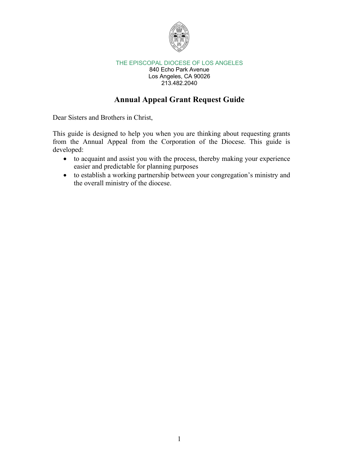

840 Echo Park Avenue Los Angeles, CA 90026 213.482.2040

## **Annual Appeal Grant Request Guide**

Dear Sisters and Brothers in Christ,

This guide is designed to help you when you are thinking about requesting grants from the Annual Appeal from the Corporation of the Diocese. This guide is developed:

- to acquaint and assist you with the process, thereby making your experience easier and predictable for planning purposes
- to establish a working partnership between your congregation's ministry and the overall ministry of the diocese.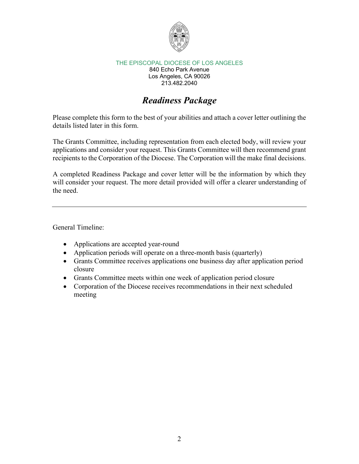

840 Echo Park Avenue Los Angeles, CA 90026 213.482.2040

# *Readiness Package*

Please complete this form to the best of your abilities and attach a cover letter outlining the details listed later in this form.

The Grants Committee, including representation from each elected body, will review your applications and consider your request. This Grants Committee will then recommend grant recipients to the Corporation of the Diocese. The Corporation will the make final decisions.

A completed Readiness Package and cover letter will be the information by which they will consider your request. The more detail provided will offer a clearer understanding of the need.

General Timeline:

- Applications are accepted year-round
- Application periods will operate on a three-month basis (quarterly)
- Grants Committee receives applications one business day after application period closure
- Grants Committee meets within one week of application period closure
- Corporation of the Diocese receives recommendations in their next scheduled meeting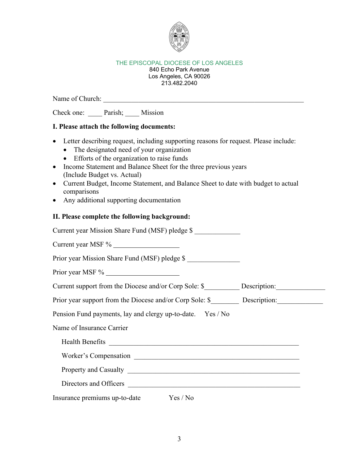

#### 840 Echo Park Avenue Los Angeles, CA 90026 213.482.2040

Name of Church: \_\_\_\_\_\_\_\_\_\_\_\_\_\_\_\_\_\_\_\_\_\_\_\_\_\_\_\_\_\_\_\_\_\_\_\_\_\_\_\_\_\_\_\_\_\_\_\_\_\_\_\_\_\_\_\_\_

Check one: \_\_\_\_\_ Parish; \_\_\_\_ Mission

## **I. Please attach the following documents:**

- Letter describing request, including supporting reasons for request. Please include:
	- The designated need of your organization
	- Efforts of the organization to raise funds
- Income Statement and Balance Sheet for the three previous years (Include Budget vs. Actual)
- Current Budget, Income Statement, and Balance Sheet to date with budget to actual comparisons
- Any additional supporting documentation

## **II. Please complete the following background:**

| Current year Mission Share Fund (MSF) pledge \$                                                                                                                                                                                      |  |
|--------------------------------------------------------------------------------------------------------------------------------------------------------------------------------------------------------------------------------------|--|
| Current year MSF %                                                                                                                                                                                                                   |  |
| Prior year Mission Share Fund (MSF) pledge \$                                                                                                                                                                                        |  |
| Prior year MSF %                                                                                                                                                                                                                     |  |
| Current support from the Diocese and/or Corp Sole: \$ Description:                                                                                                                                                                   |  |
|                                                                                                                                                                                                                                      |  |
| Pension Fund payments, lay and clergy up-to-date. Yes / No                                                                                                                                                                           |  |
| Name of Insurance Carrier                                                                                                                                                                                                            |  |
| Health Benefits <u>and the same of the same of the same of the same of the same of the same of the same of the same of the same of the same of the same of the same of the same of the same of the same of the same of the same </u> |  |
| Worker's Compensation New York Compensation                                                                                                                                                                                          |  |
|                                                                                                                                                                                                                                      |  |
|                                                                                                                                                                                                                                      |  |
| Insurance premiums up-to-date Yes / No                                                                                                                                                                                               |  |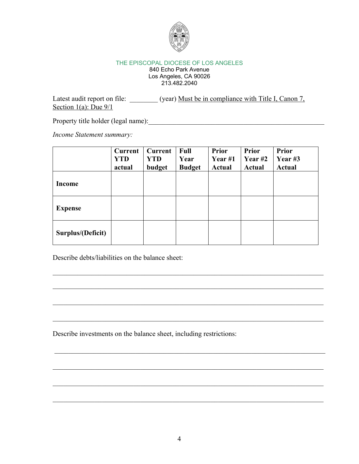

840 Echo Park Avenue Los Angeles, CA 90026 213.482.2040

Latest audit report on file: \_\_\_\_\_\_\_ (year) Must be in compliance with Title I, Canon 7, Section  $1(a)$ : Due  $9/1$ 

Property title holder (legal name):

*Income Statement summary:*

|                   | <b>Current</b><br><b>YTD</b><br>actual | Current<br><b>YTD</b><br>budget | Full<br>Year<br><b>Budget</b> | <b>Prior</b><br>Year $#1$<br><b>Actual</b> | <b>Prior</b><br>Year $#2$<br><b>Actual</b> | <b>Prior</b><br>Year #3<br><b>Actual</b> |
|-------------------|----------------------------------------|---------------------------------|-------------------------------|--------------------------------------------|--------------------------------------------|------------------------------------------|
| <b>Income</b>     |                                        |                                 |                               |                                            |                                            |                                          |
| <b>Expense</b>    |                                        |                                 |                               |                                            |                                            |                                          |
| Surplus/(Deficit) |                                        |                                 |                               |                                            |                                            |                                          |

 $\mathcal{L}_\mathcal{L} = \mathcal{L}_\mathcal{L} = \mathcal{L}_\mathcal{L} = \mathcal{L}_\mathcal{L} = \mathcal{L}_\mathcal{L} = \mathcal{L}_\mathcal{L} = \mathcal{L}_\mathcal{L} = \mathcal{L}_\mathcal{L} = \mathcal{L}_\mathcal{L} = \mathcal{L}_\mathcal{L} = \mathcal{L}_\mathcal{L} = \mathcal{L}_\mathcal{L} = \mathcal{L}_\mathcal{L} = \mathcal{L}_\mathcal{L} = \mathcal{L}_\mathcal{L} = \mathcal{L}_\mathcal{L} = \mathcal{L}_\mathcal{L}$ 

 $\mathcal{L}_\mathcal{L} = \mathcal{L}_\mathcal{L} = \mathcal{L}_\mathcal{L} = \mathcal{L}_\mathcal{L} = \mathcal{L}_\mathcal{L} = \mathcal{L}_\mathcal{L} = \mathcal{L}_\mathcal{L} = \mathcal{L}_\mathcal{L} = \mathcal{L}_\mathcal{L} = \mathcal{L}_\mathcal{L} = \mathcal{L}_\mathcal{L} = \mathcal{L}_\mathcal{L} = \mathcal{L}_\mathcal{L} = \mathcal{L}_\mathcal{L} = \mathcal{L}_\mathcal{L} = \mathcal{L}_\mathcal{L} = \mathcal{L}_\mathcal{L}$ 

Describe debts/liabilities on the balance sheet:

Describe investments on the balance sheet, including restrictions: